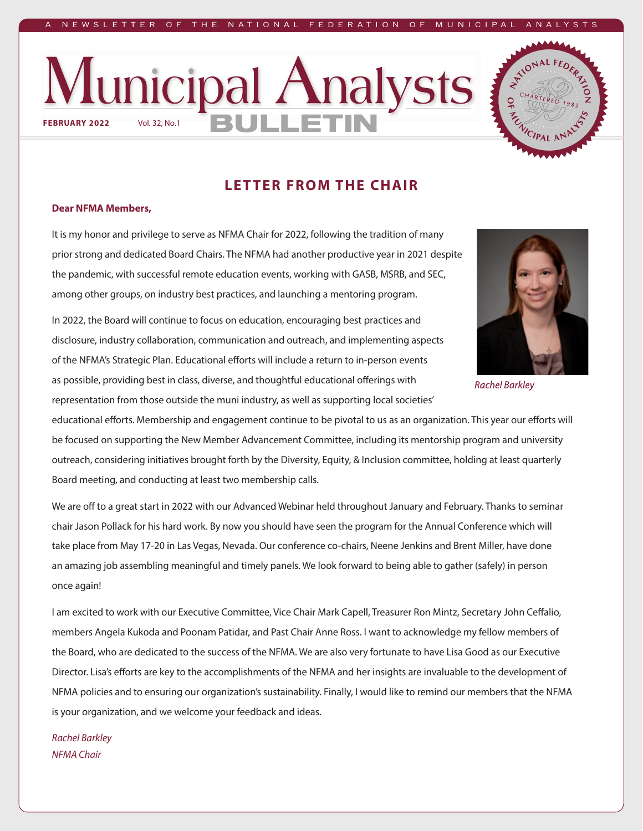#### W SLETTER OF THE NATIONAL FEDERATION OF MUNICI





### **LETTER FROM THE CHAIR**

#### **Dear NFMA Members,**

It is my honor and privilege to serve as NFMA Chair for 2022, following the tradition of many prior strong and dedicated Board Chairs. The NFMA had another productive year in 2021 despite the pandemic, with successful remote education events, working with GASB, MSRB, and SEC, among other groups, on industry best practices, and launching a mentoring program.

In 2022, the Board will continue to focus on education, encouraging best practices and disclosure, industry collaboration, communication and outreach, and implementing aspects of the NFMA's Strategic Plan. Educational efforts will include a return to in-person events as possible, providing best in class, diverse, and thoughtful educational offerings with representation from those outside the muni industry, as well as supporting local societies'



**Rachel Barkley** 

educational efforts. Membership and engagement continue to be pivotal to us as an organization. This year our efforts will be focused on supporting the New Member Advancement Committee, including its mentorship program and university outreach, considering initiatives brought forth by the Diversity, Equity, & Inclusion committee, holding at least quarterly Board meeting, and conducting at least two membership calls.

We are off to a great start in 2022 with our Advanced Webinar held throughout January and February. Thanks to seminar chair Jason Pollack for his hard work. By now you should have seen the program for the Annual Conference which will take place from May 17-20 in Las Vegas, Nevada. Our conference co-chairs, Neene Jenkins and Brent Miller, have done an amazing job assembling meaningful and timely panels. We look forward to being able to gather (safely) in person once again!

I am excited to work with our Executive Committee, Vice Chair Mark Capell, Treasurer Ron Mintz, Secretary John Ceffalio, members Angela Kukoda and Poonam Patidar, and Past Chair Anne Ross. I want to acknowledge my fellow members of the Board, who are dedicated to the success of the NFMA. We are also very fortunate to have Lisa Good as our Executive Director. Lisa's efforts are key to the accomplishments of the NFMA and her insights are invaluable to the development of NFMA policies and to ensuring our organization's sustainability. Finally, I would like to remind our members that the NFMA is your organization, and we welcome your feedback and ideas.

#### *Rachel Barkley NFMA Chair*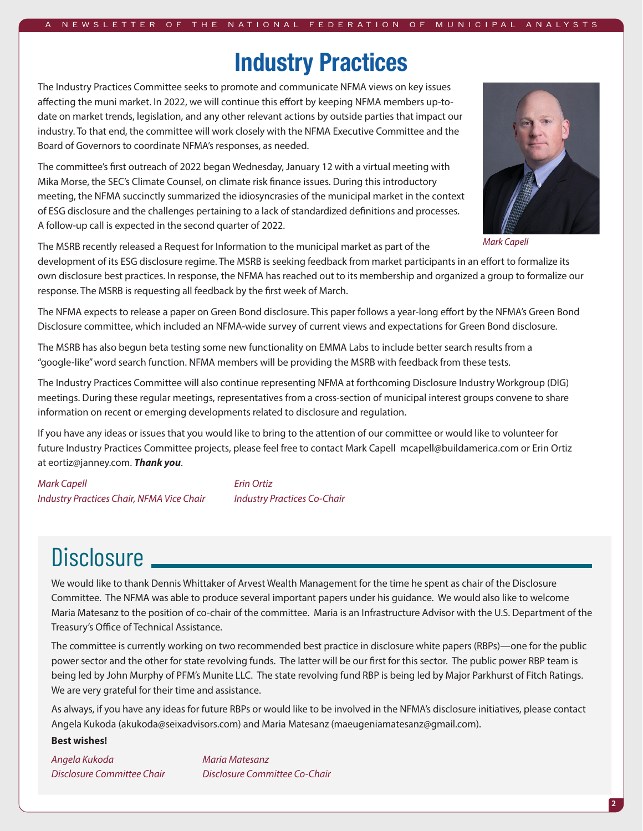#### NEWSLETTER OF THE NATIONAL FEDERATION OF MUNICIPAL

### **Industry Practices**

The Industry Practices Committee seeks to promote and communicate NFMA views on key issues affecting the muni market. In 2022, we will continue this effort by keeping NFMA members up-todate on market trends, legislation, and any other relevant actions by outside parties that impact our industry. To that end, the committee will work closely with the NFMA Executive Committee and the Board of Governors to coordinate NFMA's responses, as needed.

The committee's first outreach of 2022 began Wednesday, January 12 with a virtual meeting with Mika Morse, the SEC's Climate Counsel, on climate risk finance issues. During this introductory meeting, the NFMA succinctly summarized the idiosyncrasies of the municipal market in the context of ESG disclosure and the challenges pertaining to a lack of standardized definitions and processes. A follow-up call is expected in the second quarter of 2022.



Mark Capell

The MSRB recently released a Request for Information to the municipal market as part of the

development of its ESG disclosure regime. The MSRB is seeking feedback from market participants in an effort to formalize its own disclosure best practices. In response, the NFMA has reached out to its membership and organized a group to formalize our response. The MSRB is requesting all feedback by the first week of March.

The NFMA expects to release a paper on Green Bond disclosure. This paper follows a year-long effort by the NFMA's Green Bond Disclosure committee, which included an NFMA-wide survey of current views and expectations for Green Bond disclosure.

The MSRB has also begun beta testing some new functionality on EMMA Labs to include better search results from a "google-like" word search function. NFMA members will be providing the MSRB with feedback from these tests.

The Industry Practices Committee will also continue representing NFMA at forthcoming Disclosure Industry Workgroup (DIG) meetings. During these regular meetings, representatives from a cross-section of municipal interest groups convene to share information on recent or emerging developments related to disclosure and regulation.

If you have any ideas or issues that you would like to bring to the attention of our committee or would like to volunteer for future Industry Practices Committee projects, please feel free to contact Mark Capell mcapell@buildamerica.com or Erin Ortiz at eortiz@janney.com. *Thank you*.

*Mark Capell Erin Ortiz Industry Practices Chair, NFMA Vice Chair Industry Practices Co-Chair*

# Disclosure \_

We would like to thank Dennis Whittaker of Arvest Wealth Management for the time he spent as chair of the Disclosure Committee. The NFMA was able to produce several important papers under his guidance. We would also like to welcome Maria Matesanz to the position of co-chair of the committee. Maria is an Infrastructure Advisor with the U.S. Department of the Treasury's Office of Technical Assistance.

The committee is currently working on two recommended best practice in disclosure white papers (RBPs)—one for the public power sector and the other for state revolving funds. The latter will be our first for this sector. The public power RBP team is being led by John Murphy of PFM's Munite LLC. The state revolving fund RBP is being led by Major Parkhurst of Fitch Ratings. We are very grateful for their time and assistance.

As always, if you have any ideas for future RBPs or would like to be involved in the NFMA's disclosure initiatives, please contact Angela Kukoda (akukoda@seixadvisors.com) and Maria Matesanz (maeugeniamatesanz@gmail.com).

#### **Best wishes!**

*Angela Kukoda Maria Matesanz*

*Disclosure Committee Chair Disclosure Committee Co-Chair*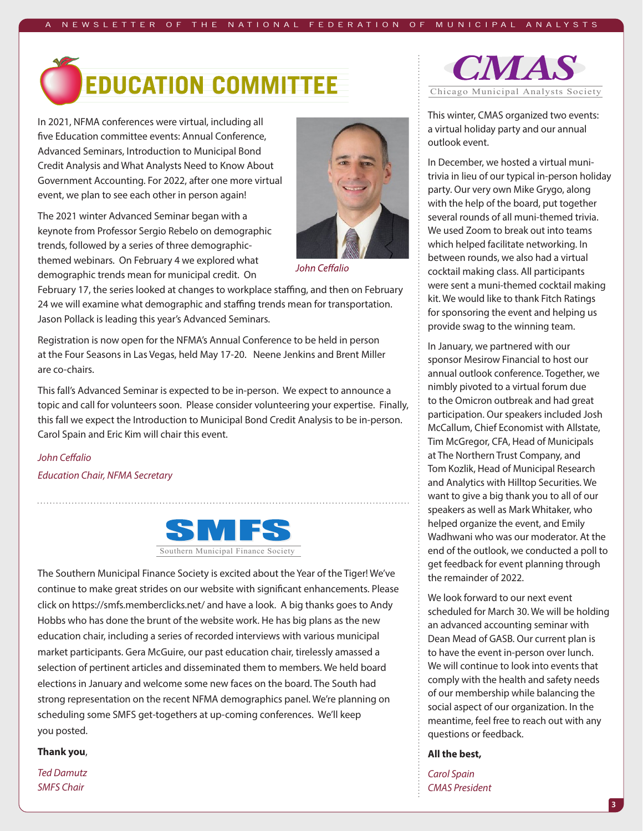

In 2021, NFMA conferences were virtual, including all five Education committee events: Annual Conference, Advanced Seminars, Introduction to Municipal Bond Credit Analysis and What Analysts Need to Know About Government Accounting. For 2022, after one more virtual event, we plan to see each other in person again!

The 2021 winter Advanced Seminar began with a keynote from Professor Sergio Rebelo on demographic trends, followed by a series of three demographicthemed webinars. On February 4 we explored what demographic trends mean for municipal credit. On



John Ceffalio

February 17, the series looked at changes to workplace staffing, and then on February 24 we will examine what demographic and staffing trends mean for transportation. Jason Pollack is leading this year's Advanced Seminars.

Registration is now open for the NFMA's Annual Conference to be held in person at the Four Seasons in Las Vegas, held May 17-20. Neene Jenkins and Brent Miller are co-chairs.

This fall's Advanced Seminar is expected to be in-person. We expect to announce a topic and call for volunteers soon. Please consider volunteering your expertise. Finally, this fall we expect the Introduction to Municipal Bond Credit Analysis to be in-person. Carol Spain and Eric Kim will chair this event.

*John Ceffalio Education Chair, NFMA Secretary*



The Southern Municipal Finance Society is excited about the Year of the Tiger! We've continue to make great strides on our website with significant enhancements. Please click on https://smfs.memberclicks.net/ and have a look. A big thanks goes to Andy Hobbs who has done the brunt of the website work. He has big plans as the new education chair, including a series of recorded interviews with various municipal market participants. Gera McGuire, our past education chair, tirelessly amassed a selection of pertinent articles and disseminated them to members. We held board elections in January and welcome some new faces on the board. The South had strong representation on the recent NFMA demographics panel. We're planning on scheduling some SMFS get-togethers at up-coming conferences. We'll keep you posted.

#### **Thank you**,

*Ted Damutz SMFS Chair*



This winter, CMAS organized two events: a virtual holiday party and our annual outlook event.

In December, we hosted a virtual munitrivia in lieu of our typical in-person holiday party. Our very own Mike Grygo, along with the help of the board, put together several rounds of all muni-themed trivia. We used Zoom to break out into teams which helped facilitate networking. In between rounds, we also had a virtual cocktail making class. All participants were sent a muni-themed cocktail making kit. We would like to thank Fitch Ratings for sponsoring the event and helping us provide swag to the winning team.

In January, we partnered with our sponsor Mesirow Financial to host our annual outlook conference. Together, we nimbly pivoted to a virtual forum due to the Omicron outbreak and had great participation. Our speakers included Josh McCallum, Chief Economist with Allstate, Tim McGregor, CFA, Head of Municipals at The Northern Trust Company, and Tom Kozlik, Head of Municipal Research and Analytics with Hilltop Securities. We want to give a big thank you to all of our speakers as well as Mark Whitaker, who helped organize the event, and Emily Wadhwani who was our moderator. At the end of the outlook, we conducted a poll to get feedback for event planning through the remainder of 2022.

We look forward to our next event scheduled for March 30. We will be holding an advanced accounting seminar with Dean Mead of GASB. Our current plan is to have the event in-person over lunch. We will continue to look into events that comply with the health and safety needs of our membership while balancing the social aspect of our organization. In the meantime, feel free to reach out with any questions or feedback.

#### **All the best,**

*Carol Spain CMAS President*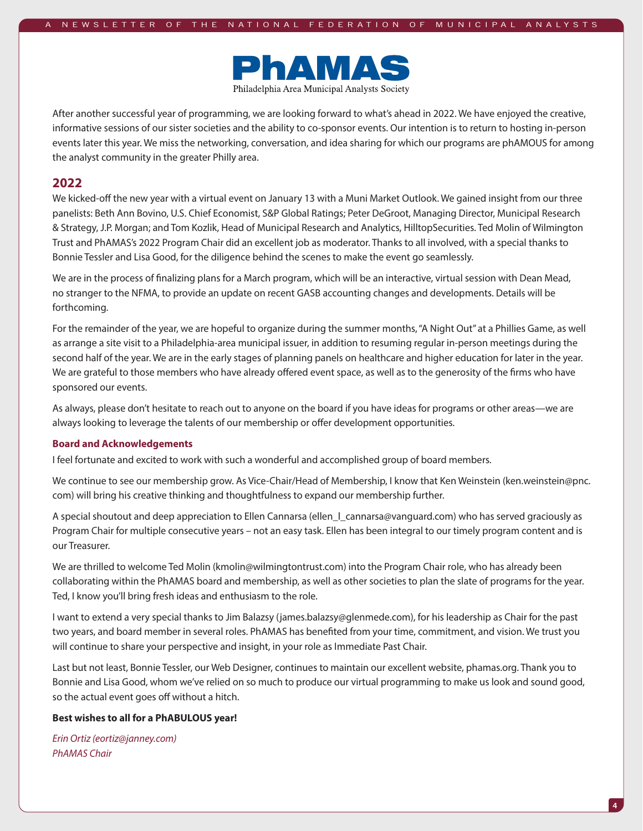

After another successful year of programming, we are looking forward to what's ahead in 2022. We have enjoyed the creative, informative sessions of our sister societies and the ability to co-sponsor events. Our intention is to return to hosting in-person events later this year. We miss the networking, conversation, and idea sharing for which our programs are phAMOUS for among the analyst community in the greater Philly area.

#### **2022**

We kicked-off the new year with a virtual event on January 13 with a Muni Market Outlook. We gained insight from our three panelists: Beth Ann Bovino, U.S. Chief Economist, S&P Global Ratings; Peter DeGroot, Managing Director, Municipal Research & Strategy, J.P. Morgan; and Tom Kozlik, Head of Municipal Research and Analytics, HilltopSecurities. Ted Molin of Wilmington Trust and PhAMAS's 2022 Program Chair did an excellent job as moderator. Thanks to all involved, with a special thanks to Bonnie Tessler and Lisa Good, for the diligence behind the scenes to make the event go seamlessly.

We are in the process of finalizing plans for a March program, which will be an interactive, virtual session with Dean Mead, no stranger to the NFMA, to provide an update on recent GASB accounting changes and developments. Details will be forthcoming.

For the remainder of the year, we are hopeful to organize during the summer months, "A Night Out" at a Phillies Game, as well as arrange a site visit to a Philadelphia-area municipal issuer, in addition to resuming regular in-person meetings during the second half of the year. We are in the early stages of planning panels on healthcare and higher education for later in the year. We are grateful to those members who have already offered event space, as well as to the generosity of the firms who have sponsored our events.

As always, please don't hesitate to reach out to anyone on the board if you have ideas for programs or other areas—we are always looking to leverage the talents of our membership or offer development opportunities.

#### **Board and Acknowledgements**

I feel fortunate and excited to work with such a wonderful and accomplished group of board members.

We continue to see our membership grow. As Vice-Chair/Head of Membership, I know that Ken Weinstein (ken.weinstein@pnc. com) will bring his creative thinking and thoughtfulness to expand our membership further.

A special shoutout and deep appreciation to Ellen Cannarsa (ellen\_l\_cannarsa@vanguard.com) who has served graciously as Program Chair for multiple consecutive years – not an easy task. Ellen has been integral to our timely program content and is our Treasurer.

We are thrilled to welcome Ted Molin (kmolin@wilmingtontrust.com) into the Program Chair role, who has already been collaborating within the PhAMAS board and membership, as well as other societies to plan the slate of programs for the year. Ted, I know you'll bring fresh ideas and enthusiasm to the role.

I want to extend a very special thanks to Jim Balazsy (james.balazsy@glenmede.com), for his leadership as Chair for the past two years, and board member in several roles. PhAMAS has benefited from your time, commitment, and vision. We trust you will continue to share your perspective and insight, in your role as Immediate Past Chair.

Last but not least, Bonnie Tessler, our Web Designer, continues to maintain our excellent website, phamas.org. Thank you to Bonnie and Lisa Good, whom we've relied on so much to produce our virtual programming to make us look and sound good, so the actual event goes off without a hitch.

#### **Best wishes to all for a PhABULOUS year!**

*Erin Ortiz (eortiz@janney.com) PhAMAS Chair*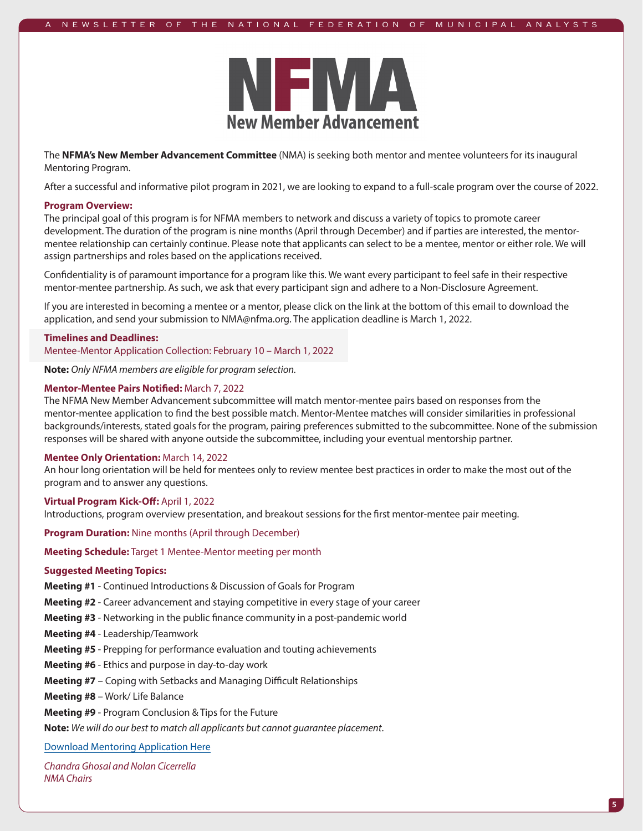

The **NFMA's New Member Advancement Committee** (NMA) is seeking both mentor and mentee volunteers for its inaugural Mentoring Program.

After a successful and informative pilot program in 2021, we are looking to expand to a full-scale program over the course of 2022.

#### **Program Overview:**

The principal goal of this program is for NFMA members to network and discuss a variety of topics to promote career development. The duration of the program is nine months (April through December) and if parties are interested, the mentormentee relationship can certainly continue. Please note that applicants can select to be a mentee, mentor or either role. We will assign partnerships and roles based on the applications received.

Confidentiality is of paramount importance for a program like this. We want every participant to feel safe in their respective mentor-mentee partnership. As such, we ask that every participant sign and adhere to a Non-Disclosure Agreement.

If you are interested in becoming a mentee or a mentor, please click on the link at the bottom of this email to download the application, and send your submission to NMA@nfma.org. The application deadline is March 1, 2022.

#### **Timelines and Deadlines:**

Mentee-Mentor Application Collection: February 10 – March 1, 2022

**Note:** *Only NFMA members are eligible for program selection.*

#### **Mentor-Mentee Pairs Notified:** March 7, 2022

The NFMA New Member Advancement subcommittee will match mentor-mentee pairs based on responses from the mentor-mentee application to find the best possible match. Mentor-Mentee matches will consider similarities in professional backgrounds/interests, stated goals for the program, pairing preferences submitted to the subcommittee. None of the submission responses will be shared with anyone outside the subcommittee, including your eventual mentorship partner.

#### **Mentee Only Orientation:** March 14, 2022

An hour long orientation will be held for mentees only to review mentee best practices in order to make the most out of the program and to answer any questions.

#### **Virtual Program Kick-Off:** April 1, 2022

Introductions, program overview presentation, and breakout sessions for the first mentor-mentee pair meeting.

**Program Duration:** Nine months (April through December)

**Meeting Schedule:** Target 1 Mentee-Mentor meeting per month

#### **Suggested Meeting Topics:**

**Meeting #1** - Continued Introductions & Discussion of Goals for Program

**Meeting #2** - Career advancement and staying competitive in every stage of your career

**Meeting #3** - Networking in the public finance community in a post-pandemic world

**Meeting #4** - Leadership/Teamwork

**Meeting #5** - Prepping for performance evaluation and touting achievements

**Meeting #6** - Ethics and purpose in day-to-day work

**Meeting #7** – Coping with Setbacks and Managing Difficult Relationships

**Meeting #8** – Work/ Life Balance

**Meeting #9** - Program Conclusion & Tips for the Future

**Note:** *We will do our best to match all applicants but cannot guarantee placement*.

[Download Mentoring Application Here](https://nfma.memberclicks.net/assets/documents/NMA/NFMA%20Mentee-Mentor%20Application%202022.docx)

*Chandra Ghosal and Nolan Cicerrella NMA Chairs*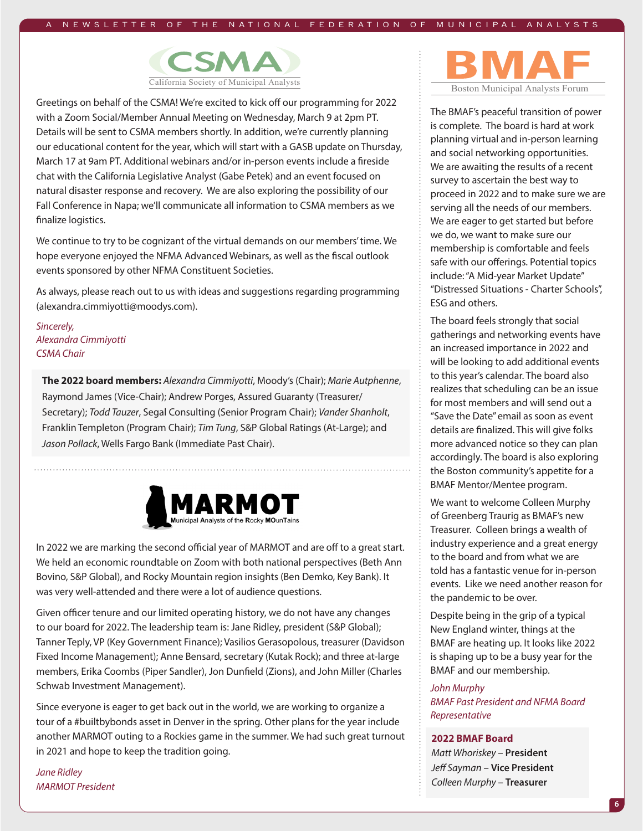

Greetings on behalf of the CSMA! We're excited to kick off our programming for 2022 with a Zoom Social/Member Annual Meeting on Wednesday, March 9 at 2pm PT. Details will be sent to CSMA members shortly. In addition, we're currently planning our educational content for the year, which will start with a GASB update on Thursday, March 17 at 9am PT. Additional webinars and/or in-person events include a fireside chat with the California Legislative Analyst (Gabe Petek) and an event focused on natural disaster response and recovery. We are also exploring the possibility of our Fall Conference in Napa; we'll communicate all information to CSMA members as we finalize logistics.

We continue to try to be cognizant of the virtual demands on our members' time. We hope everyone enjoyed the NFMA Advanced Webinars, as well as the fiscal outlook events sponsored by other NFMA Constituent Societies.

As always, please reach out to us with ideas and suggestions regarding programming (alexandra.cimmiyotti@moodys.com).

*Sincerely, Alexandra Cimmiyotti CSMA Chair*

**The 2022 board members:** *Alexandra Cimmiyotti*, Moody's (Chair); *Marie Autphenne*, Raymond James (Vice-Chair); Andrew Porges, Assured Guaranty (Treasurer/ Secretary); *Todd Tauzer*, Segal Consulting (Senior Program Chair); *Vander Shanholt*, Franklin Templeton (Program Chair); *Tim Tung*, S&P Global Ratings (At-Large); and *Jason Pollack*, Wells Fargo Bank (Immediate Past Chair).



In 2022 we are marking the second official year of MARMOT and are off to a great start. We held an economic roundtable on Zoom with both national perspectives (Beth Ann Bovino, S&P Global), and Rocky Mountain region insights (Ben Demko, Key Bank). It was very well-attended and there were a lot of audience questions.

Given officer tenure and our limited operating history, we do not have any changes to our board for 2022. The leadership team is: Jane Ridley, president (S&P Global); Tanner Teply, VP (Key Government Finance); Vasilios Gerasopolous, treasurer (Davidson Fixed Income Management); Anne Bensard, secretary (Kutak Rock); and three at-large members, Erika Coombs (Piper Sandler), Jon Dunfield (Zions), and John Miller (Charles Schwab Investment Management).

Since everyone is eager to get back out in the world, we are working to organize a tour of a #builtbybonds asset in Denver in the spring. Other plans for the year include another MARMOT outing to a Rockies game in the summer. We had such great turnout in 2021 and hope to keep the tradition going.

*Jane Ridley MARMOT President*



The BMAF's peaceful transition of power is complete. The board is hard at work planning virtual and in-person learning and social networking opportunities. We are awaiting the results of a recent survey to ascertain the best way to proceed in 2022 and to make sure we are serving all the needs of our members. We are eager to get started but before we do, we want to make sure our membership is comfortable and feels safe with our offerings. Potential topics include: "A Mid-year Market Update" "Distressed Situations - Charter Schools", ESG and others.

The board feels strongly that social gatherings and networking events have an increased importance in 2022 and will be looking to add additional events to this year's calendar. The board also realizes that scheduling can be an issue for most members and will send out a "Save the Date" email as soon as event details are finalized. This will give folks more advanced notice so they can plan accordingly. The board is also exploring the Boston community's appetite for a BMAF Mentor/Mentee program.

We want to welcome Colleen Murphy of Greenberg Traurig as BMAF's new Treasurer. Colleen brings a wealth of industry experience and a great energy to the board and from what we are told has a fantastic venue for in-person events. Like we need another reason for the pandemic to be over.

Despite being in the grip of a typical New England winter, things at the BMAF are heating up. It looks like 2022 is shaping up to be a busy year for the BMAF and our membership.

#### *John Murphy*

*BMAF Past President and NFMA Board Representative*

#### **2022 BMAF Board**

*Matt Whoriskey* – **President** *Jeff Sayman* – **Vice President** *Colleen Murphy* – **Treasurer**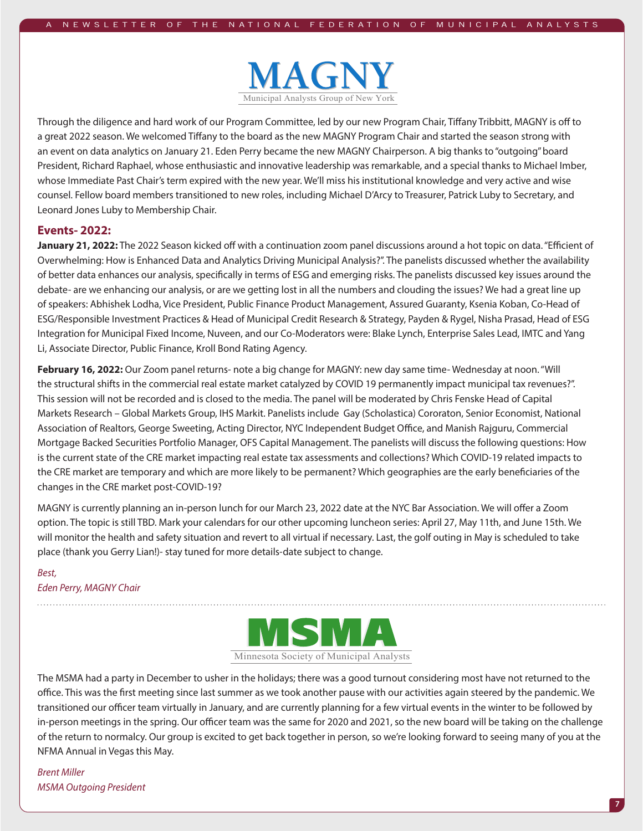

Through the diligence and hard work of our Program Committee, led by our new Program Chair, Tiffany Tribbitt, MAGNY is off to a great 2022 season. We welcomed Tiffany to the board as the new MAGNY Program Chair and started the season strong with an event on data analytics on January 21. Eden Perry became the new MAGNY Chairperson. A big thanks to "outgoing" board President, Richard Raphael, whose enthusiastic and innovative leadership was remarkable, and a special thanks to Michael Imber, whose Immediate Past Chair's term expired with the new year. We'll miss his institutional knowledge and very active and wise counsel. Fellow board members transitioned to new roles, including Michael D'Arcy to Treasurer, Patrick Luby to Secretary, and Leonard Jones Luby to Membership Chair.

#### **Events- 2022:**

**January 21, 2022:** The 2022 Season kicked off with a continuation zoom panel discussions around a hot topic on data. "Efficient of Overwhelming: How is Enhanced Data and Analytics Driving Municipal Analysis?". The panelists discussed whether the availability of better data enhances our analysis, specifically in terms of ESG and emerging risks. The panelists discussed key issues around the debate- are we enhancing our analysis, or are we getting lost in all the numbers and clouding the issues? We had a great line up of speakers: Abhishek Lodha, Vice President, Public Finance Product Management, Assured Guaranty, Ksenia Koban, Co-Head of ESG/Responsible Investment Practices & Head of Municipal Credit Research & Strategy, Payden & Rygel, Nisha Prasad, Head of ESG Integration for Municipal Fixed Income, Nuveen, and our Co-Moderators were: Blake Lynch, Enterprise Sales Lead, IMTC and Yang Li, Associate Director, Public Finance, Kroll Bond Rating Agency.

**February 16, 2022:** Our Zoom panel returns- note a big change for MAGNY: new day same time- Wednesday at noon. "Will the structural shifts in the commercial real estate market catalyzed by COVID 19 permanently impact municipal tax revenues?". This session will not be recorded and is closed to the media. The panel will be moderated by Chris Fenske Head of Capital Markets Research – Global Markets Group, IHS Markit. Panelists include Gay (Scholastica) Cororaton, Senior Economist, National Association of Realtors, George Sweeting, Acting Director, NYC Independent Budget Office, and Manish Rajguru, Commercial Mortgage Backed Securities Portfolio Manager, OFS Capital Management. The panelists will discuss the following questions: How is the current state of the CRE market impacting real estate tax assessments and collections? Which COVID-19 related impacts to the CRE market are temporary and which are more likely to be permanent? Which geographies are the early beneficiaries of the changes in the CRE market post-COVID-19?

MAGNY is currently planning an in-person lunch for our March 23, 2022 date at the NYC Bar Association. We will offer a Zoom option. The topic is still TBD. Mark your calendars for our other upcoming luncheon series: April 27, May 11th, and June 15th. We will monitor the health and safety situation and revert to all virtual if necessary. Last, the golf outing in May is scheduled to take place (thank you Gerry Lian!)- stay tuned for more details-date subject to change.

#### *Best, Eden Perry, MAGNY Chair*



The MSMA had a party in December to usher in the holidays; there was a good turnout considering most have not returned to the office. This was the first meeting since last summer as we took another pause with our activities again steered by the pandemic. We transitioned our officer team virtually in January, and are currently planning for a few virtual events in the winter to be followed by in-person meetings in the spring. Our officer team was the same for 2020 and 2021, so the new board will be taking on the challenge of the return to normalcy. Our group is excited to get back together in person, so we're looking forward to seeing many of you at the NFMA Annual in Vegas this May.

*Brent Miller MSMA Outgoing President*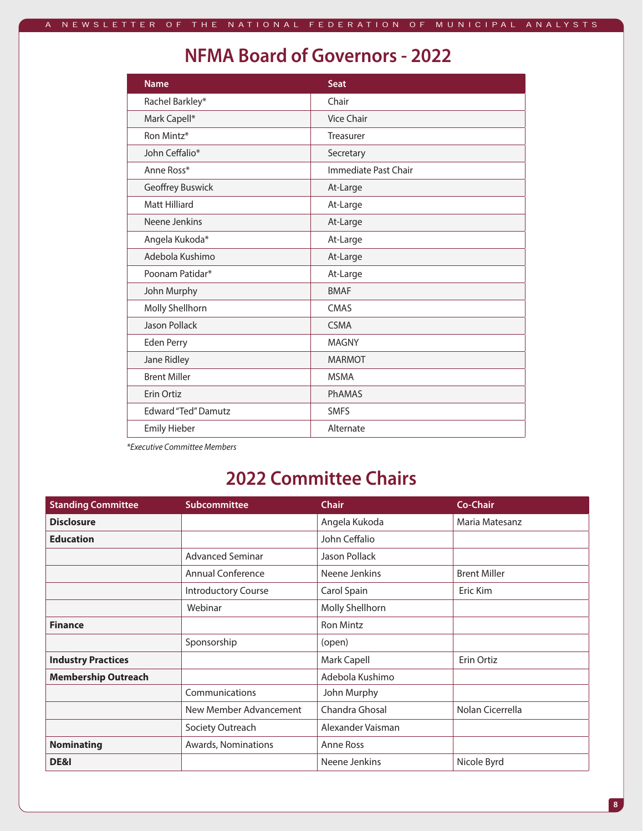### **NFMA Board of Governors - 2022**

| <b>Name</b>                | <b>Seat</b>          |
|----------------------------|----------------------|
| Rachel Barkley*            | Chair                |
| Mark Capell*               | <b>Vice Chair</b>    |
| Ron Mintz*                 | Treasurer            |
| John Ceffalio*             | Secretary            |
| Anne Ross*                 | Immediate Past Chair |
| Geoffrey Buswick           | At-Large             |
| Matt Hilliard              | At-Large             |
| Neene Jenkins              | At-Large             |
| Angela Kukoda*             | At-Large             |
| Adebola Kushimo            | At-Large             |
| Poonam Patidar*            | At-Large             |
| John Murphy                | <b>BMAF</b>          |
| Molly Shellhorn            | CMAS                 |
| Jason Pollack              | <b>CSMA</b>          |
| Eden Perry                 | <b>MAGNY</b>         |
| Jane Ridley                | <b>MARMOT</b>        |
| <b>Brent Miller</b>        | <b>MSMA</b>          |
| Erin Ortiz                 | <b>PhAMAS</b>        |
| <b>Edward "Ted" Damutz</b> | <b>SMFS</b>          |
| <b>Emily Hieber</b>        | Alternate            |
|                            |                      |

*\*Executive Committee Members*

### **2022 Committee Chairs**

| <b>Standing Committee</b>  | Subcommittee               | <b>Chair</b>      | Co-Chair            |
|----------------------------|----------------------------|-------------------|---------------------|
| <b>Disclosure</b>          |                            | Angela Kukoda     | Maria Matesanz      |
| <b>Education</b>           |                            | John Ceffalio     |                     |
|                            | <b>Advanced Seminar</b>    | Jason Pollack     |                     |
|                            | <b>Annual Conference</b>   | Neene Jenkins     | <b>Brent Miller</b> |
|                            | <b>Introductory Course</b> | Carol Spain       | Eric Kim            |
|                            | Webinar                    | Molly Shellhorn   |                     |
| <b>Finance</b>             |                            | <b>Ron Mintz</b>  |                     |
|                            | Sponsorship                | (open)            |                     |
| <b>Industry Practices</b>  |                            | Mark Capell       | Erin Ortiz          |
| <b>Membership Outreach</b> |                            | Adebola Kushimo   |                     |
|                            | Communications             | John Murphy       |                     |
|                            | New Member Advancement     | Chandra Ghosal    | Nolan Cicerrella    |
|                            | Society Outreach           | Alexander Vaisman |                     |
| <b>Nominating</b>          | Awards, Nominations        | Anne Ross         |                     |
| DE&I                       |                            | Neene Jenkins     | Nicole Byrd         |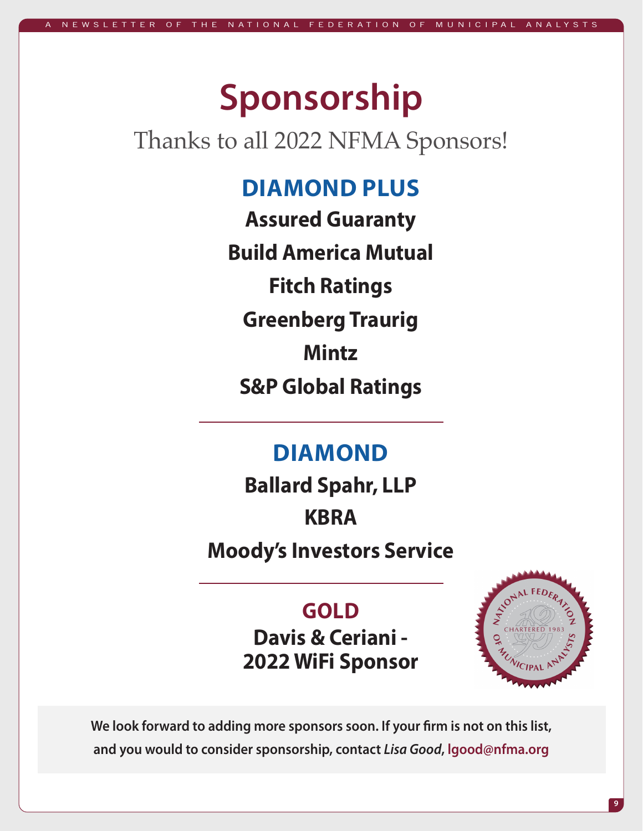# **Sponsorship**

# Thanks to all 2022 NFMA Sponsors!

# **DIAMOND PLUS**

**Assured Guaranty Build America Mutual Fitch Ratings Greenberg Traurig Mintz S&P Global Ratings**

### **DIAMOND**

**Ballard Spahr, LLP KBRA Moody's Investors Service**

> **GOLD Davis & Ceriani - 2022 WiFi Sponsor**



**We look forward to adding more sponsors soon. If your firm is not on this list, and you would to consider sponsorship, contact** *Lisa Good***, lgood@nfma.org**